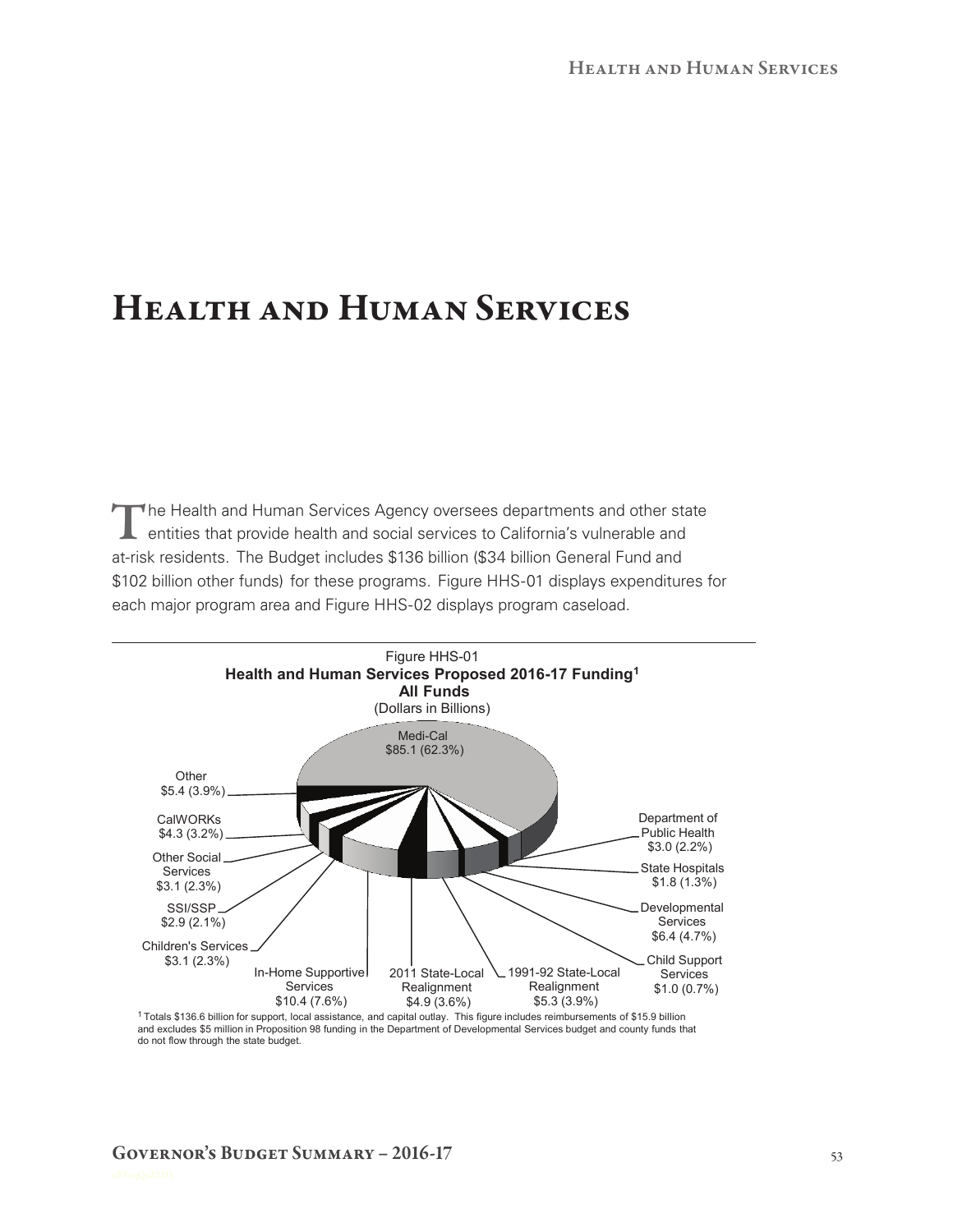# Health and Human Services

The Health and Human Services Agency oversees departments and other state<br>
entities that provide health and social services to California's vulnerable and<br>
The Service of the California's vulnerable and at-risk residents. The Budget includes \$136 billion (\$34 billion General Fund and \$102 billion other funds) for these programs. Figure HHS-01 displays expenditures for each major program area and Figure HHS-02 displays program caseload.



1 Totals \$136.6 billion for support, local assistance, and capital outlay. This figure includes reimbursements of \$15.9 billion<br>and excludes \$5 million in Proposition 98 funding in the Department of Developmental Services do not flow through the state budget.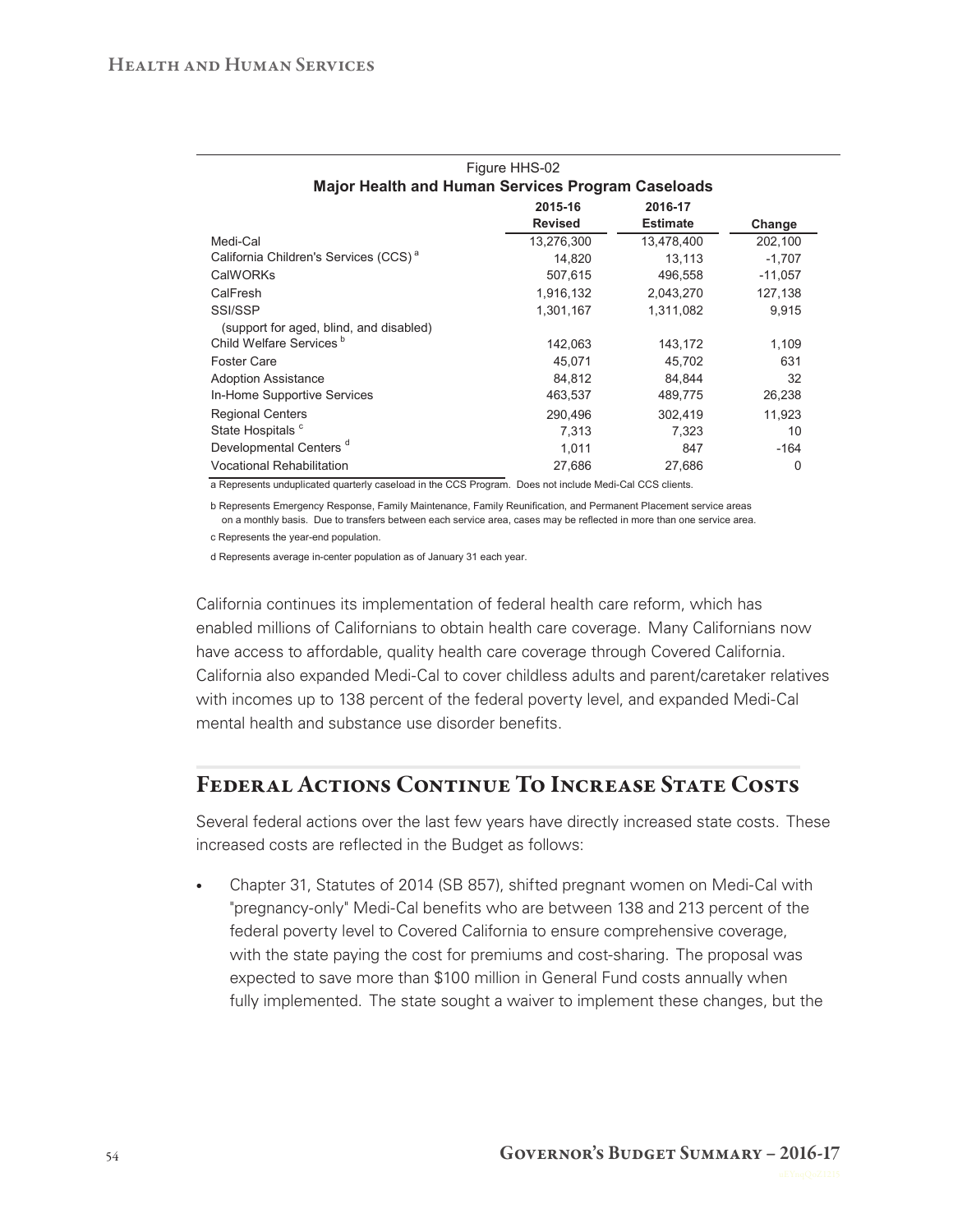|                                                                     | Figure HHS-02  |                 |           |  |  |  |  |  |
|---------------------------------------------------------------------|----------------|-----------------|-----------|--|--|--|--|--|
| <b>Major Health and Human Services Program Caseloads</b>            |                |                 |           |  |  |  |  |  |
|                                                                     | 2015-16        | 2016-17         |           |  |  |  |  |  |
|                                                                     | <b>Revised</b> | <b>Estimate</b> | Change    |  |  |  |  |  |
| Medi-Cal                                                            | 13,276,300     | 13,478,400      | 202,100   |  |  |  |  |  |
| California Children's Services (CCS) <sup>a</sup>                   | 14.820         | 13.113          | $-1,707$  |  |  |  |  |  |
| <b>CalWORKs</b>                                                     | 507,615        | 496,558         | $-11,057$ |  |  |  |  |  |
| CalFresh                                                            | 1,916,132      | 2,043,270       | 127,138   |  |  |  |  |  |
| SSI/SSP                                                             | 1,301,167      | 1,311,082       | 9,915     |  |  |  |  |  |
| (support for aged, blind, and disabled)                             |                |                 |           |  |  |  |  |  |
| Child Welfare Services <sup>b</sup>                                 | 142,063        | 143,172         | 1,109     |  |  |  |  |  |
| <b>Foster Care</b>                                                  | 45,071         | 45,702          | 631       |  |  |  |  |  |
| <b>Adoption Assistance</b>                                          | 84,812         | 84.844          | 32        |  |  |  |  |  |
| In-Home Supportive Services                                         | 463,537        | 489,775         | 26,238    |  |  |  |  |  |
| <b>Regional Centers</b>                                             | 290.496        | 302,419         | 11.923    |  |  |  |  |  |
| State Hospitals <sup>c</sup>                                        | 7.313          | 7.323           | 10        |  |  |  |  |  |
| Developmental Centers <sup>d</sup>                                  | 1,011          | 847             | $-164$    |  |  |  |  |  |
| <b>Vocational Rehabilitation</b><br>$\cdots$ $\cdots$ $\cdots$<br>. | 27,686         | 27,686          | 0         |  |  |  |  |  |

a Represents unduplicated quarterly caseload in the CCS Program. Does not include Medi-Cal CCS clients.

b Represents Emergency Response, Family Maintenance, Family Reunification, and Permanent Placement service areas on a monthly basis. Due to transfers between each service area, cases may be reflected in more than one service area.

c Represents the year-end population.

d Represents average in-center population as of January 31 each year.

California continues its implementation of federal health care reform, which has enabled millions of Californians to obtain health care coverage. Many Californians now have access to affordable, quality health care coverage through Covered California. California also expanded Medi‑Cal to cover childless adults and parent/caretaker relatives with incomes up to 138 percent of the federal poverty level, and expanded Medi-Cal mental health and substance use disorder benefits.

### Federal Actions Continue To Increase State Costs

Several federal actions over the last few years have directly increased state costs. These increased costs are reflected in the Budget as follows:

• Chapter 31, Statutes of 2014 (SB 857), shifted pregnant women on Medi-Cal with "pregnancy‑only" Medi‑Cal benefits who are between 138 and 213 percent of the federal poverty level to Covered California to ensure comprehensive coverage, with the state paying the cost for premiums and cost-sharing. The proposal was expected to save more than \$100 million in General Fund costs annually when fully implemented. The state sought a waiver to implement these changes, but the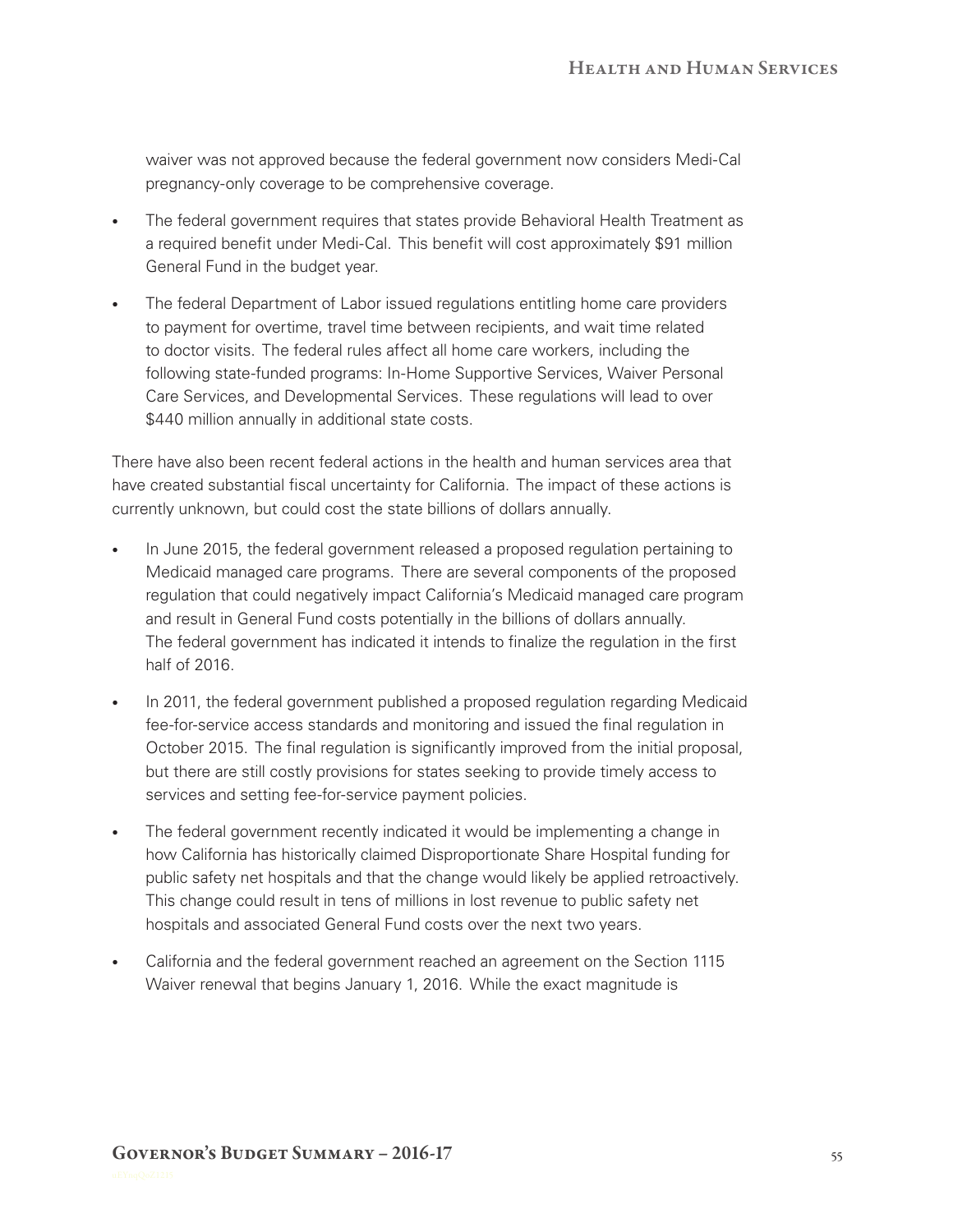waiver was not approved because the federal government now considers Medi-Cal pregnancy‑only coverage to be comprehensive coverage.

- The federal government requires that states provide Behavioral Health Treatment as a required benefit under Medi‑Cal. This benefit will cost approximately \$91 million General Fund in the budget year.
- The federal Department of Labor issued regulations entitling home care providers to payment for overtime, travel time between recipients, and wait time related to doctor visits. The federal rules affect all home care workers, including the following state-funded programs: In-Home Supportive Services, Waiver Personal Care Services, and Developmental Services. These regulations will lead to over \$440 million annually in additional state costs.

There have also been recent federal actions in the health and human services area that have created substantial fiscal uncertainty for California. The impact of these actions is currently unknown, but could cost the state billions of dollars annually.

- In June 2015, the federal government released a proposed regulation pertaining to Medicaid managed care programs. There are several components of the proposed regulation that could negatively impact California's Medicaid managed care program and result in General Fund costs potentially in the billions of dollars annually. The federal government has indicated it intends to finalize the regulation in the first half of 2016.
- In 2011, the federal government published a proposed regulation regarding Medicaid fee-for-service access standards and monitoring and issued the final regulation in October 2015. The final regulation is significantly improved from the initial proposal, but there are still costly provisions for states seeking to provide timely access to services and setting fee-for-service payment policies.
- The federal government recently indicated it would be implementing a change in how California has historically claimed Disproportionate Share Hospital funding for public safety net hospitals and that the change would likely be applied retroactively. This change could result in tens of millions in lost revenue to public safety net hospitals and associated General Fund costs over the next two years.
- • California and the federal government reached an agreement on the Section 1115 Waiver renewal that begins January 1, 2016. While the exact magnitude is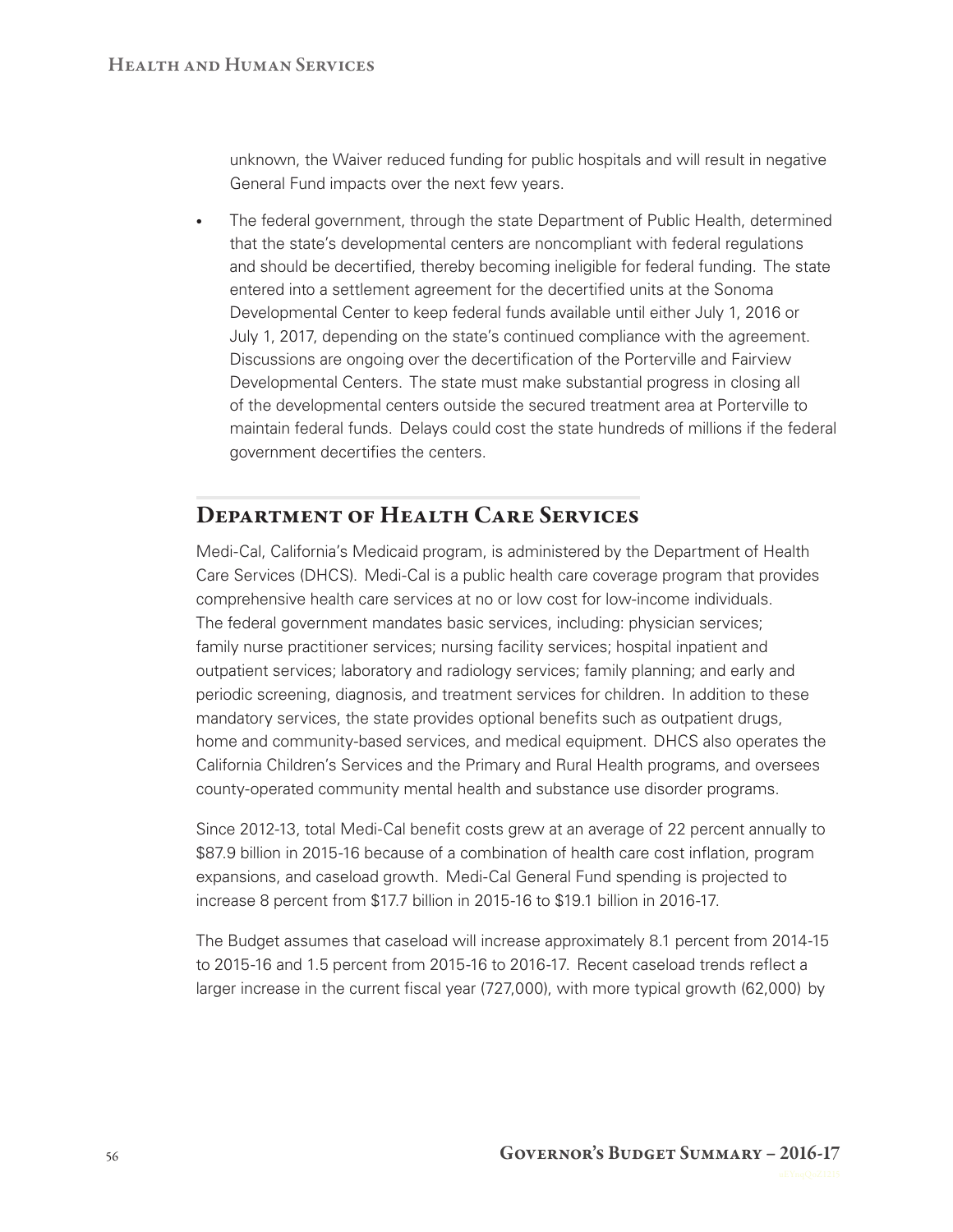unknown, the Waiver reduced funding for public hospitals and will result in negative General Fund impacts over the next few years.

• The federal government, through the state Department of Public Health, determined that the state's developmental centers are noncompliant with federal regulations and should be decertified, thereby becoming ineligible for federal funding. The state entered into a settlement agreement for the decertified units at the Sonoma Developmental Center to keep federal funds available until either July 1, 2016 or July 1, 2017, depending on the state's continued compliance with the agreement. Discussions are ongoing over the decertification of the Porterville and Fairview Developmental Centers. The state must make substantial progress in closing all of the developmental centers outside the secured treatment area at Porterville to maintain federal funds. Delays could cost the state hundreds of millions if the federal government decertifies the centers.

### Department of Health Care Services

Medi‑Cal, California's Medicaid program, is administered by the Department of Health Care Services (DHCS). Medi‑Cal is a public health care coverage program that provides comprehensive health care services at no or low cost for low‑income individuals. The federal government mandates basic services, including: physician services; family nurse practitioner services; nursing facility services; hospital inpatient and outpatient services; laboratory and radiology services; family planning; and early and periodic screening, diagnosis, and treatment services for children. In addition to these mandatory services, the state provides optional benefits such as outpatient drugs, home and community-based services, and medical equipment. DHCS also operates the California Children's Services and the Primary and Rural Health programs, and oversees county-operated community mental health and substance use disorder programs.

Since 2012-13, total Medi-Cal benefit costs grew at an average of 22 percent annually to \$87.9 billion in 2015-16 because of a combination of health care cost inflation, program expansions, and caseload growth. Medi‑Cal General Fund spending is projected to increase 8 percent from \$17.7 billion in 2015-16 to \$19.1 billion in 2016-17.

The Budget assumes that caseload will increase approximately 8.1 percent from 2014‑15 to 2015-16 and 1.5 percent from 2015-16 to 2016-17. Recent caseload trends reflect a larger increase in the current fiscal year (727,000), with more typical growth (62,000) by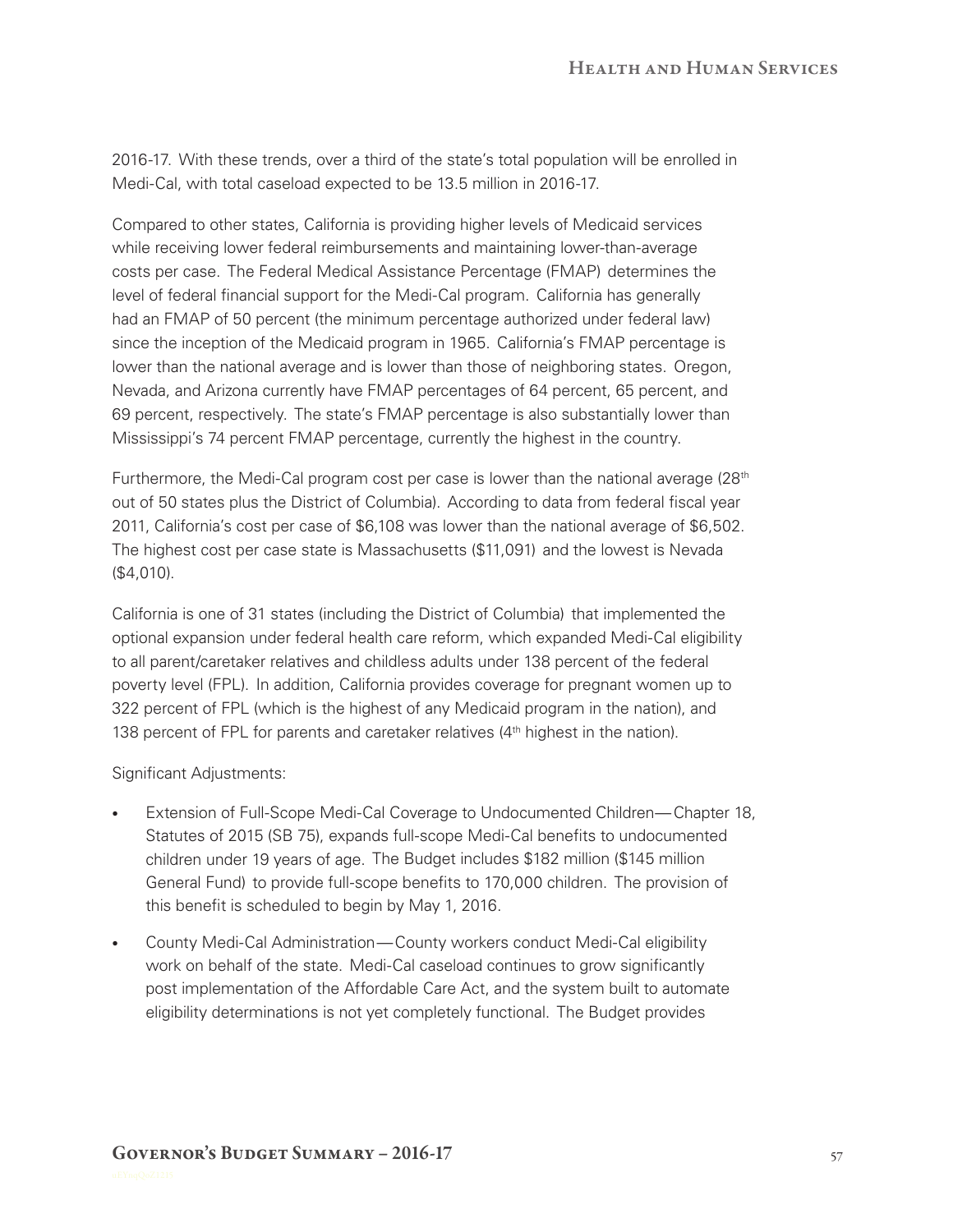2016‑17. With these trends, over a third of the state's total population will be enrolled in Medi-Cal, with total caseload expected to be 13.5 million in 2016-17.

Compared to other states, California is providing higher levels of Medicaid services while receiving lower federal reimbursements and maintaining lower-than-average costs per case. The Federal Medical Assistance Percentage (FMAP) determines the level of federal financial support for the Medi‑Cal program. California has generally had an FMAP of 50 percent (the minimum percentage authorized under federal law) since the inception of the Medicaid program in 1965. California's FMAP percentage is lower than the national average and is lower than those of neighboring states. Oregon, Nevada, and Arizona currently have FMAP percentages of 64 percent, 65 percent, and 69 percent, respectively. The state's FMAP percentage is also substantially lower than Mississippi's 74 percent FMAP percentage, currently the highest in the country.

Furthermore, the Medi-Cal program cost per case is lower than the national average (28<sup>th</sup> out of 50 states plus the District of Columbia). According to data from federal fiscal year 2011, California's cost per case of \$6,108 was lower than the national average of \$6,502. The highest cost per case state is Massachusetts (\$11,091) and the lowest is Nevada (\$4,010).

California is one of 31 states (including the District of Columbia) that implemented the optional expansion under federal health care reform, which expanded Medi‑Cal eligibility to all parent/caretaker relatives and childless adults under 138 percent of the federal poverty level (FPL). In addition, California provides coverage for pregnant women up to 322 percent of FPL (which is the highest of any Medicaid program in the nation), and 138 percent of FPL for parents and caretaker relatives (4<sup>th</sup> highest in the nation).

Significant Adjustments:

- Extension of Full-Scope Medi-Cal Coverage to Undocumented Children— Chapter 18, Statutes of 2015 (SB 75), expands full‑scope Medi‑Cal benefits to undocumented children under 19 years of age. The Budget includes \$182 million (\$145 million General Fund) to provide full‑scope benefits to 170,000 children. The provision of this benefit is scheduled to begin by May 1, 2016.
- County Medi-Cal Administration— County workers conduct Medi-Cal eligibility work on behalf of the state. Medi-Cal caseload continues to grow significantly post implementation of the Affordable Care Act, and the system built to automate eligibility determinations is not yet completely functional. The Budget provides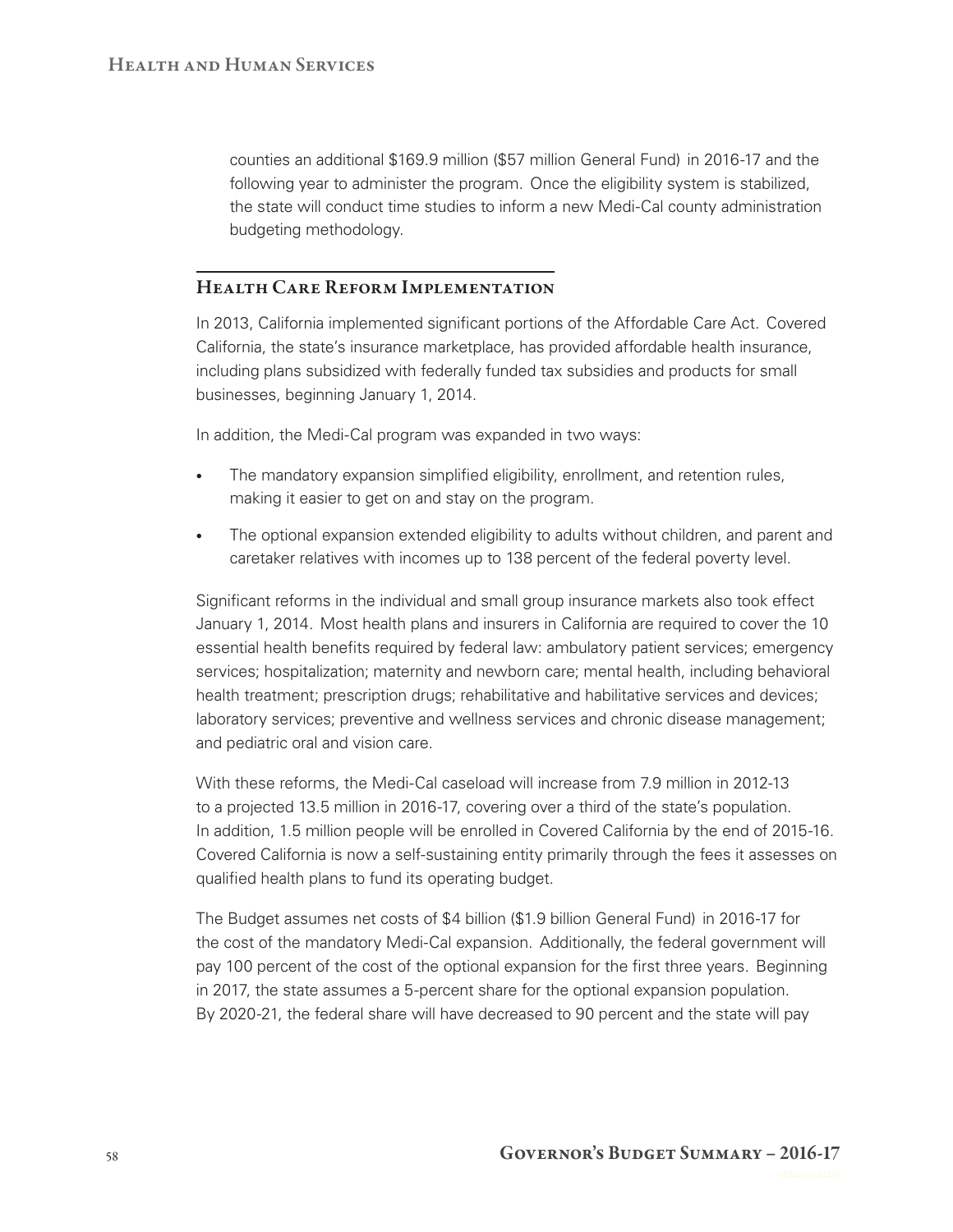counties an additional \$169.9 million (\$57 million General Fund) in 2016‑17 and the following year to administer the program. Once the eligibility system is stabilized, the state will conduct time studies to inform a new Medi‑Cal county administration budgeting methodology.

### Health Care Reform Implementation

In 2013, California implemented significant portions of the Affordable Care Act. Covered California, the state's insurance marketplace, has provided affordable health insurance, including plans subsidized with federally funded tax subsidies and products for small businesses, beginning January 1, 2014.

In addition, the Medi-Cal program was expanded in two ways:

- The mandatory expansion simplified eligibility, enrollment, and retention rules, making it easier to get on and stay on the program.
- The optional expansion extended eligibility to adults without children, and parent and caretaker relatives with incomes up to 138 percent of the federal poverty level.

Significant reforms in the individual and small group insurance markets also took effect January 1, 2014. Most health plans and insurers in California are required to cover the 10 essential health benefits required by federal law: ambulatory patient services; emergency services; hospitalization; maternity and newborn care; mental health, including behavioral health treatment; prescription drugs; rehabilitative and habilitative services and devices; laboratory services; preventive and wellness services and chronic disease management; and pediatric oral and vision care.

With these reforms, the Medi-Cal caseload will increase from 7.9 million in 2012-13 to a projected 13.5 million in 2016‑17, covering over a third of the state's population. In addition, 1.5 million people will be enrolled in Covered California by the end of 2015-16. Covered California is now a self-sustaining entity primarily through the fees it assesses on qualified health plans to fund its operating budget.

The Budget assumes net costs of \$4 billion (\$1.9 billion General Fund) in 2016‑17 for the cost of the mandatory Medi-Cal expansion. Additionally, the federal government will pay 100 percent of the cost of the optional expansion for the first three years. Beginning in 2017, the state assumes a 5‑percent share for the optional expansion population. By 2020-21, the federal share will have decreased to 90 percent and the state will pay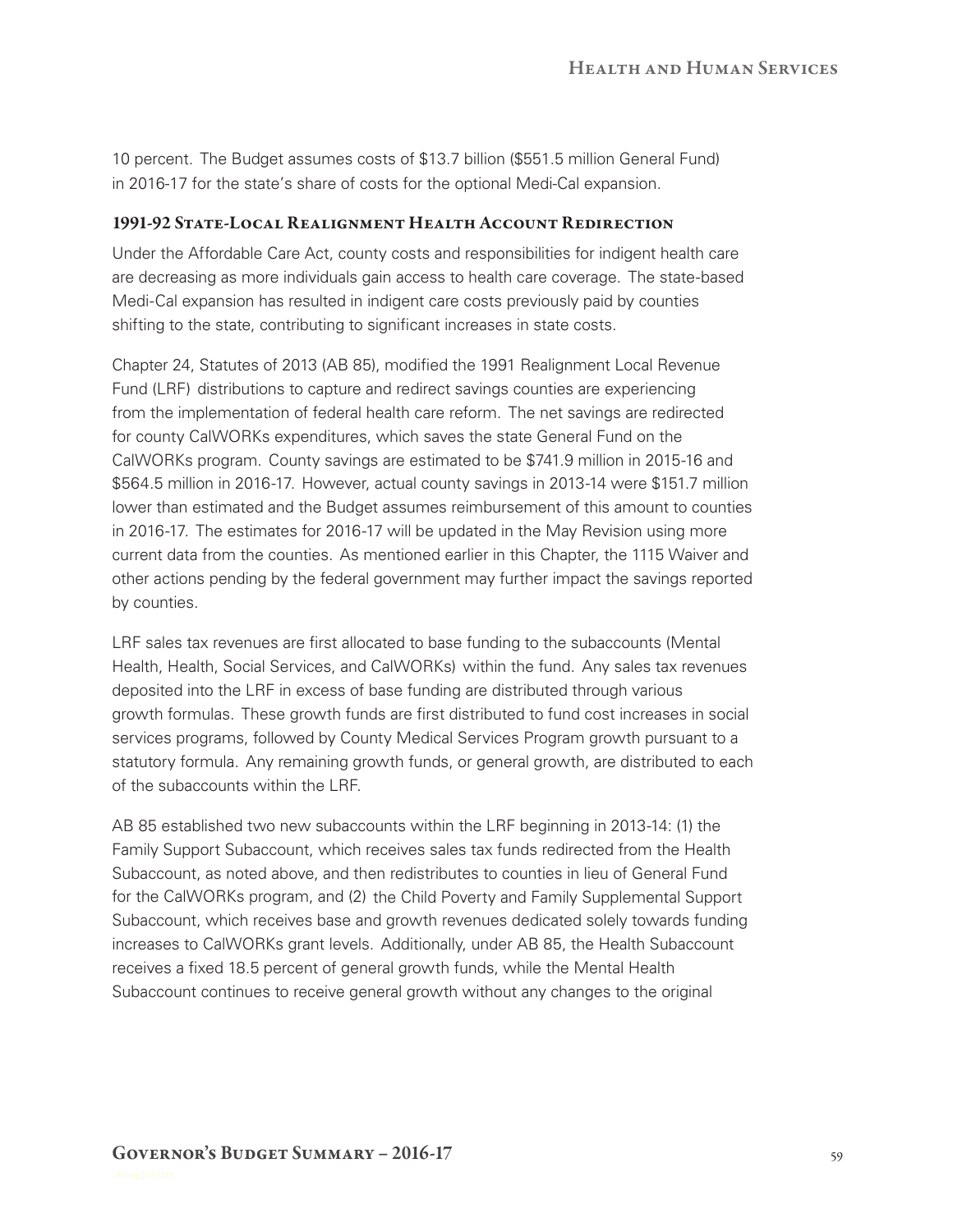10 percent. The Budget assumes costs of \$13.7 billion (\$551.5 million General Fund) in 2016-17 for the state's share of costs for the optional Medi-Cal expansion.

#### 1991-92 State-Local Realignment Health Account Redirection

Under the Affordable Care Act, county costs and responsibilities for indigent health care are decreasing as more individuals gain access to health care coverage. The state-based Medi-Cal expansion has resulted in indigent care costs previously paid by counties shifting to the state, contributing to significant increases in state costs.

Chapter 24, Statutes of 2013 (AB 85), modified the 1991 Realignment Local Revenue Fund (LRF) distributions to capture and redirect savings counties are experiencing from the implementation of federal health care reform. The net savings are redirected for county CalWORKs expenditures, which saves the state General Fund on the CalWORKs program. County savings are estimated to be \$741.9 million in 2015‑16 and \$564.5 million in 2016‑17. However, actual county savings in 2013‑14 were \$151.7 million lower than estimated and the Budget assumes reimbursement of this amount to counties in 2016-17. The estimates for 2016-17 will be updated in the May Revision using more current data from the counties. As mentioned earlier in this Chapter, the 1115 Waiver and other actions pending by the federal government may further impact the savings reported by counties.

LRF sales tax revenues are first allocated to base funding to the subaccounts (Mental Health, Health, Social Services, and CalWORKs) within the fund. Any sales tax revenues deposited into the LRF in excess of base funding are distributed through various growth formulas. These growth funds are first distributed to fund cost increases in social services programs, followed by County Medical Services Program growth pursuant to a statutory formula. Any remaining growth funds, or general growth, are distributed to each of the subaccounts within the LRF.

AB 85 established two new subaccounts within the LRF beginning in 2013-14: (1) the Family Support Subaccount, which receives sales tax funds redirected from the Health Subaccount, as noted above, and then redistributes to counties in lieu of General Fund for the CalWORKs program, and (2) the Child Poverty and Family Supplemental Support Subaccount, which receives base and growth revenues dedicated solely towards funding increases to CalWORKs grant levels. Additionally, under AB 85, the Health Subaccount receives a fixed 18.5 percent of general growth funds, while the Mental Health Subaccount continues to receive general growth without any changes to the original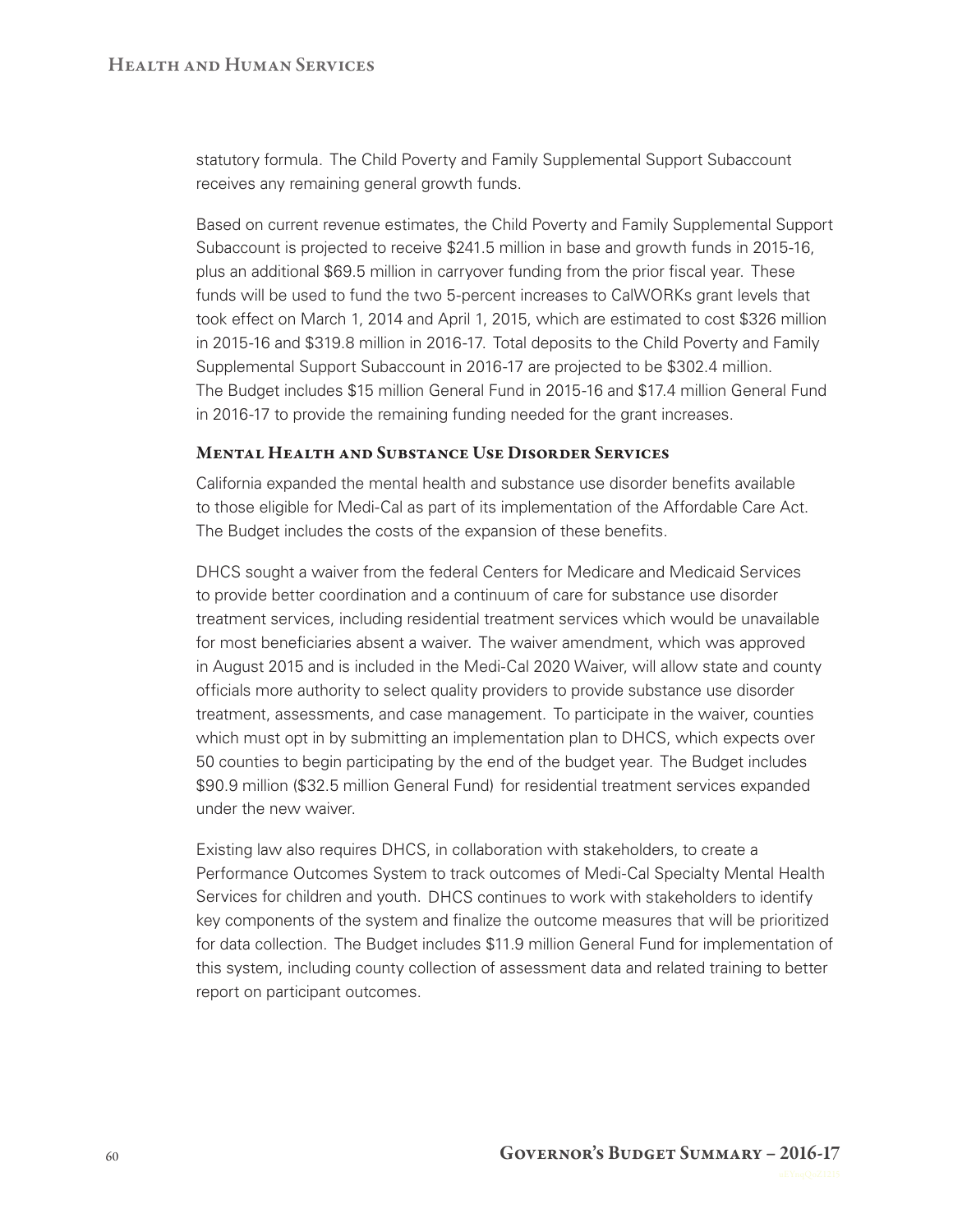statutory formula. The Child Poverty and Family Supplemental Support Subaccount receives any remaining general growth funds.

Based on current revenue estimates, the Child Poverty and Family Supplemental Support Subaccount is projected to receive \$241.5 million in base and growth funds in 2015-16, plus an additional \$69.5 million in carryover funding from the prior fiscal year. These funds will be used to fund the two 5-percent increases to CalWORKs grant levels that took effect on March 1, 2014 and April 1, 2015, which are estimated to cost \$326 million in 2015‑16 and \$319.8 million in 2016‑17. Total deposits to the Child Poverty and Family Supplemental Support Subaccount in 2016‑17 are projected to be \$302.4 million. The Budget includes \$15 million General Fund in 2015‑16 and \$17.4 million General Fund in 2016‑17 to provide the remaining funding needed for the grant increases.

#### Mental Health and Substance Use Disorder Services

California expanded the mental health and substance use disorder benefits available to those eligible for Medi‑Cal as part of its implementation of the Affordable Care Act. The Budget includes the costs of the expansion of these benefits.

DHCS sought a waiver from the federal Centers for Medicare and Medicaid Services to provide better coordination and a continuum of care for substance use disorder treatment services, including residential treatment services which would be unavailable for most beneficiaries absent a waiver. The waiver amendment, which was approved in August 2015 and is included in the Medi-Cal 2020 Waiver, will allow state and county officials more authority to select quality providers to provide substance use disorder treatment, assessments, and case management. To participate in the waiver, counties which must opt in by submitting an implementation plan to DHCS, which expects over 50 counties to begin participating by the end of the budget year. The Budget includes \$90.9 million (\$32.5 million General Fund) for residential treatment services expanded under the new waiver.

Existing law also requires DHCS, in collaboration with stakeholders, to create a Performance Outcomes System to track outcomes of Medi-Cal Specialty Mental Health Services for children and youth. DHCS continues to work with stakeholders to identify key components of the system and finalize the outcome measures that will be prioritized for data collection. The Budget includes \$11.9 million General Fund for implementation of this system, including county collection of assessment data and related training to better report on participant outcomes.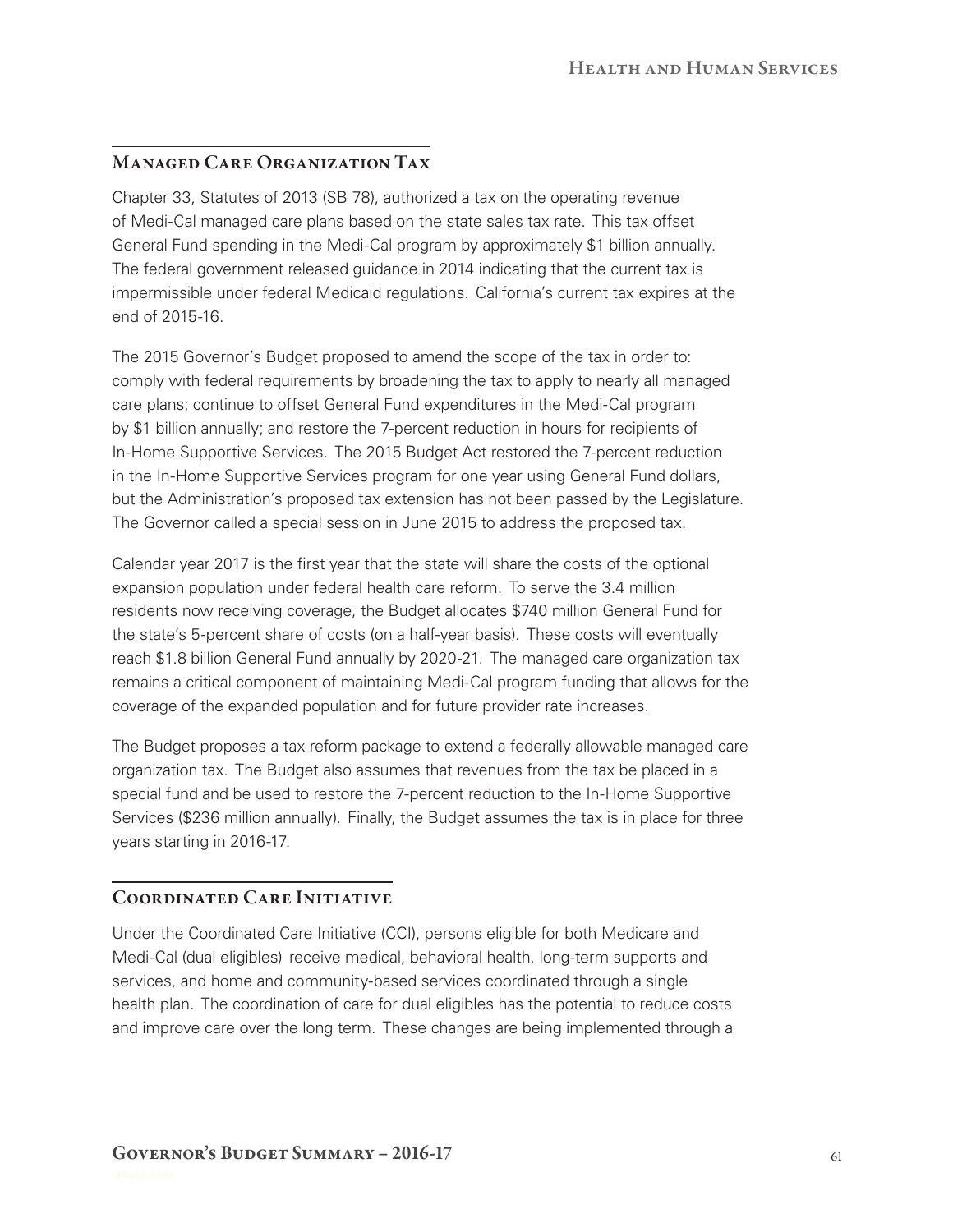### Managed Care Organization Tax

Chapter 33, Statutes of 2013 (SB 78), authorized a tax on the operating revenue of Medi-Cal managed care plans based on the state sales tax rate. This tax offset General Fund spending in the Medi-Cal program by approximately \$1 billion annually. The federal government released guidance in 2014 indicating that the current tax is impermissible under federal Medicaid regulations. California's current tax expires at the end of 2015‑16.

The 2015 Governor's Budget proposed to amend the scope of the tax in order to: comply with federal requirements by broadening the tax to apply to nearly all managed care plans; continue to offset General Fund expenditures in the Medi‑Cal program by \$1 billion annually; and restore the 7‑percent reduction in hours for recipients of In‑Home Supportive Services. The 2015 Budget Act restored the 7‑percent reduction in the In‑Home Supportive Services program for one year using General Fund dollars, but the Administration's proposed tax extension has not been passed by the Legislature. The Governor called a special session in June 2015 to address the proposed tax.

Calendar year 2017 is the first year that the state will share the costs of the optional expansion population under federal health care reform. To serve the 3.4 million residents now receiving coverage, the Budget allocates \$740 million General Fund for the state's 5‑percent share of costs (on a half‑year basis). These costs will eventually reach \$1.8 billion General Fund annually by 2020‑21. The managed care organization tax remains a critical component of maintaining Medi‑Cal program funding that allows for the coverage of the expanded population and for future provider rate increases.

The Budget proposes a tax reform package to extend a federally allowable managed care organization tax. The Budget also assumes that revenues from the tax be placed in a special fund and be used to restore the 7-percent reduction to the In-Home Supportive Services (\$236 million annually). Finally, the Budget assumes the tax is in place for three years starting in 2016-17.

### Coordinated Care Initiative

Under the Coordinated Care Initiative (CCI), persons eligible for both Medicare and Medi-Cal (dual eligibles) receive medical, behavioral health, long-term supports and services, and home and community-based services coordinated through a single health plan. The coordination of care for dual eligibles has the potential to reduce costs and improve care over the long term. These changes are being implemented through a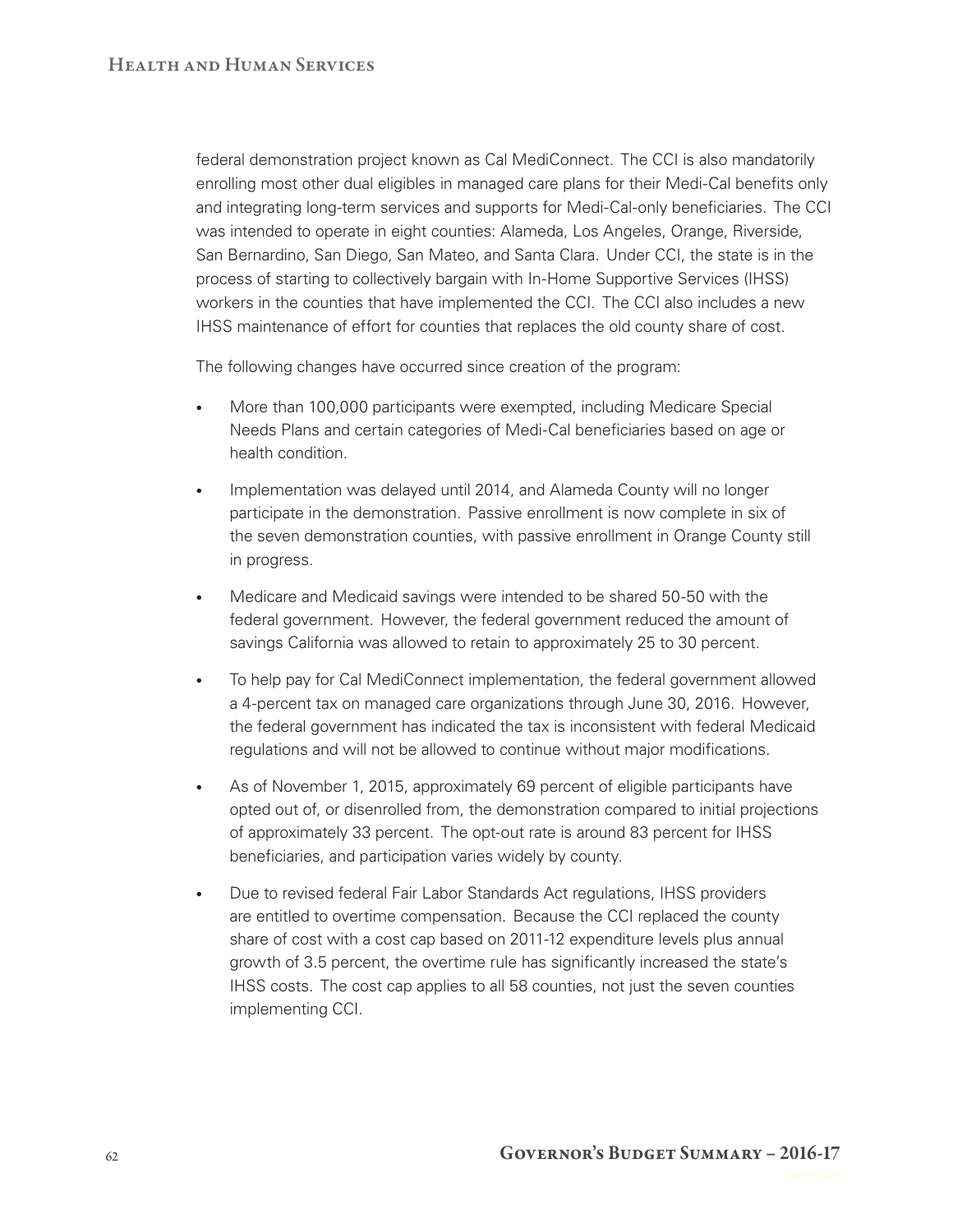federal demonstration project known as Cal MediConnect. The CCI is also mandatorily enrolling most other dual eligibles in managed care plans for their Medi-Cal benefits only and integrating long‑term services and supports for Medi‑Cal‑only beneficiaries. The CCI was intended to operate in eight counties: Alameda, Los Angeles, Orange, Riverside, San Bernardino, San Diego, San Mateo, and Santa Clara. Under CCI, the state is in the process of starting to collectively bargain with In‑Home Supportive Services (IHSS) workers in the counties that have implemented the CCI. The CCI also includes a new IHSS maintenance of effort for counties that replaces the old county share of cost.

The following changes have occurred since creation of the program:

- More than 100,000 participants were exempted, including Medicare Special Needs Plans and certain categories of Medi‑Cal beneficiaries based on age or health condition.
- Implementation was delayed until 2014, and Alameda County will no longer participate in the demonstration. Passive enrollment is now complete in six of the seven demonstration counties, with passive enrollment in Orange County still in progress.
- Medicare and Medicaid savings were intended to be shared 50-50 with the federal government. However, the federal government reduced the amount of savings California was allowed to retain to approximately 25 to 30 percent.
- To help pay for Cal MediConnect implementation, the federal government allowed a 4‑percent tax on managed care organizations through June 30, 2016. However, the federal government has indicated the tax is inconsistent with federal Medicaid regulations and will not be allowed to continue without major modifications.
- As of November 1, 2015, approximately 69 percent of eligible participants have opted out of, or disenrolled from, the demonstration compared to initial projections of approximately 33 percent. The opt-out rate is around 83 percent for IHSS beneficiaries, and participation varies widely by county.
- Due to revised federal Fair Labor Standards Act requiations, IHSS providers are entitled to overtime compensation. Because the CCI replaced the county share of cost with a cost cap based on 2011-12 expenditure levels plus annual growth of 3.5 percent, the overtime rule has significantly increased the state's IHSS costs. The cost cap applies to all 58 counties, not just the seven counties implementing CCI.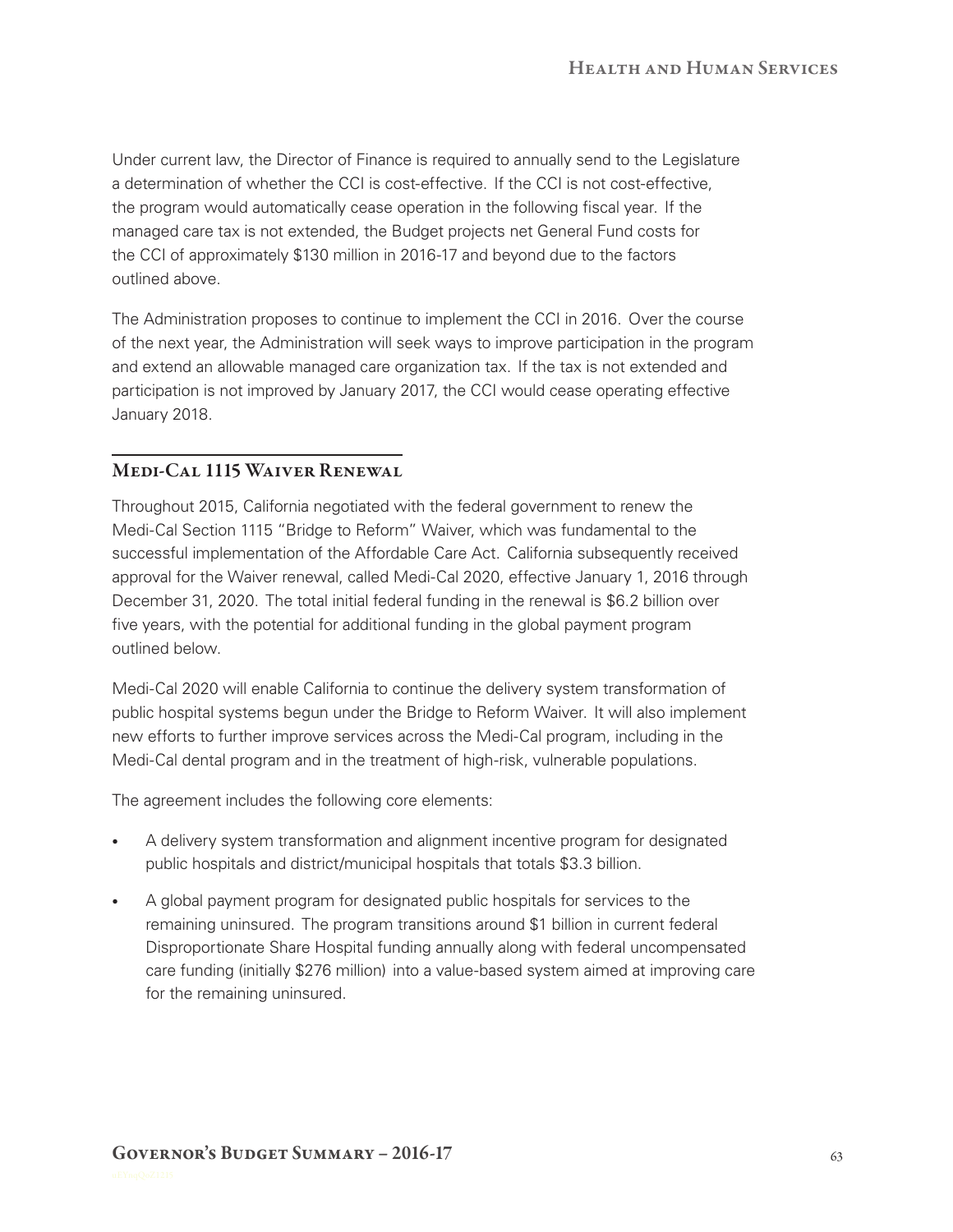Under current law, the Director of Finance is required to annually send to the Legislature a determination of whether the CCI is cost-effective. If the CCI is not cost-effective. the program would automatically cease operation in the following fiscal year. If the managed care tax is not extended, the Budget projects net General Fund costs for the CCI of approximately \$130 million in 2016-17 and beyond due to the factors outlined above.

The Administration proposes to continue to implement the CCI in 2016. Over the course of the next year, the Administration will seek ways to improve participation in the program and extend an allowable managed care organization tax. If the tax is not extended and participation is not improved by January 2017, the CCI would cease operating effective January 2018.

### MEDI-CAL 1115 WAIVER RENEWAL

Throughout 2015, California negotiated with the federal government to renew the Medi‑Cal Section 1115 "Bridge to Reform" Waiver, which was fundamental to the successful implementation of the Affordable Care Act. California subsequently received approval for the Waiver renewal, called Medi-Cal 2020, effective January 1, 2016 through December 31, 2020. The total initial federal funding in the renewal is \$6.2 billion over five years, with the potential for additional funding in the global payment program outlined below.

Medi‑Cal 2020 will enable California to continue the delivery system transformation of public hospital systems begun under the Bridge to Reform Waiver. It will also implement new efforts to further improve services across the Medi‑Cal program, including in the Medi-Cal dental program and in the treatment of high-risk, vulnerable populations.

The agreement includes the following core elements:

- A delivery system transformation and alignment incentive program for designated public hospitals and district/municipal hospitals that totals \$3.3 billion.
- A global payment program for designated public hospitals for services to the remaining uninsured. The program transitions around \$1 billion in current federal Disproportionate Share Hospital funding annually along with federal uncompensated care funding (initially \$276 million) into a value-based system aimed at improving care for the remaining uninsured.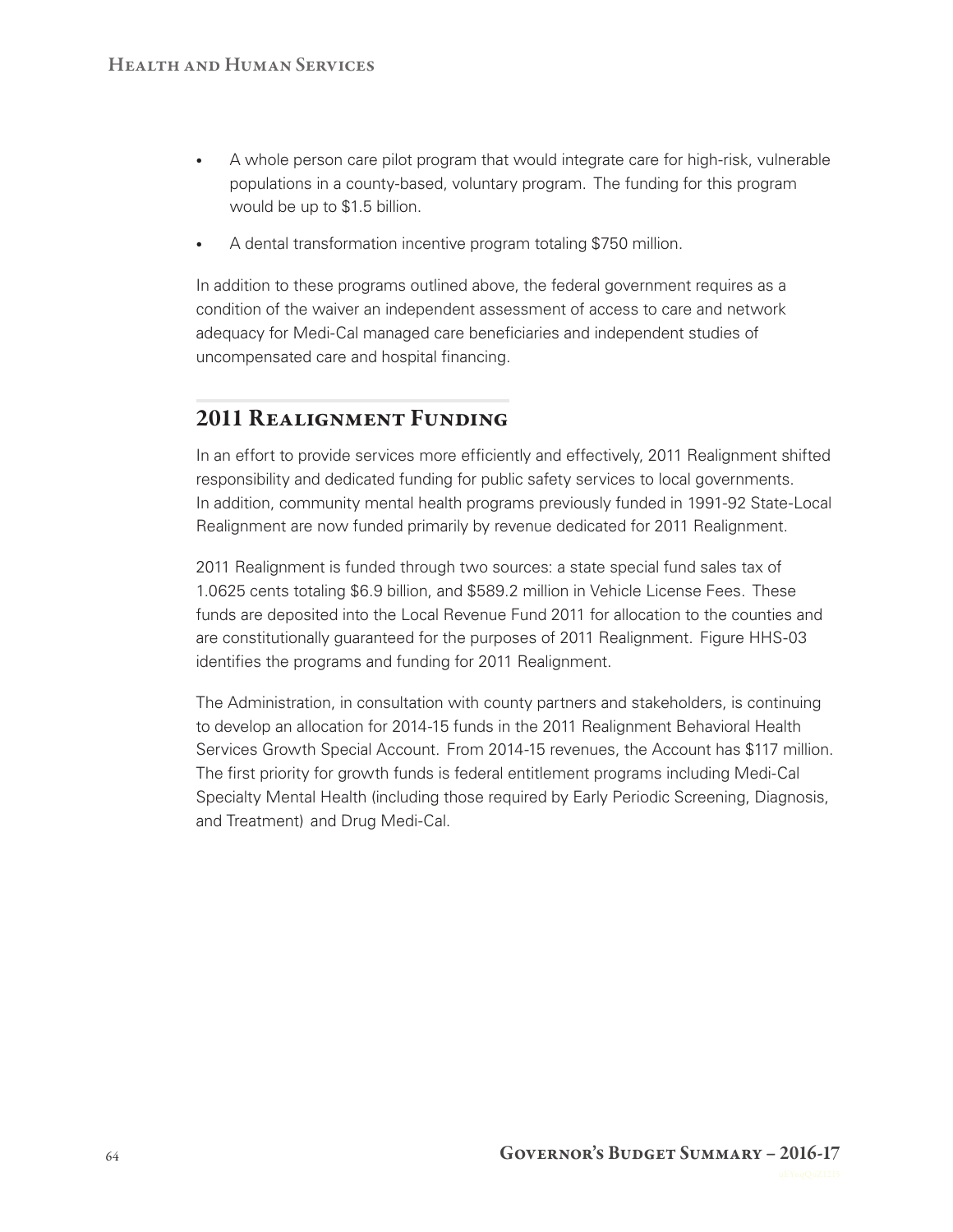- A whole person care pilot program that would integrate care for high-risk, vulnerable populations in a county‑based, voluntary program. The funding for this program would be up to \$1.5 billion.
- A dental transformation incentive program totaling \$750 million.

In addition to these programs outlined above, the federal government requires as a condition of the waiver an independent assessment of access to care and network adequacy for Medi-Cal managed care beneficiaries and independent studies of uncompensated care and hospital financing.

# 2011 Realignment Funding

In an effort to provide services more efficiently and effectively, 2011 Realignment shifted responsibility and dedicated funding for public safety services to local governments. In addition, community mental health programs previously funded in 1991-92 State-Local Realignment are now funded primarily by revenue dedicated for 2011 Realignment.

2011 Realignment is funded through two sources: a state special fund sales tax of 1.0625 cents totaling \$6.9 billion, and \$589.2 million in Vehicle License Fees. These funds are deposited into the Local Revenue Fund 2011 for allocation to the counties and are constitutionally guaranteed for the purposes of 2011 Realignment. Figure HHS-03 identifies the programs and funding for 2011 Realignment.

The Administration, in consultation with county partners and stakeholders, is continuing to develop an allocation for 2014‑15 funds in the 2011 Realignment Behavioral Health Services Growth Special Account. From 2014‑15 revenues, the Account has \$117 million. The first priority for growth funds is federal entitlement programs including Medi-Cal Specialty Mental Health (including those required by Early Periodic Screening, Diagnosis, and Treatment) and Drug Medi-Cal.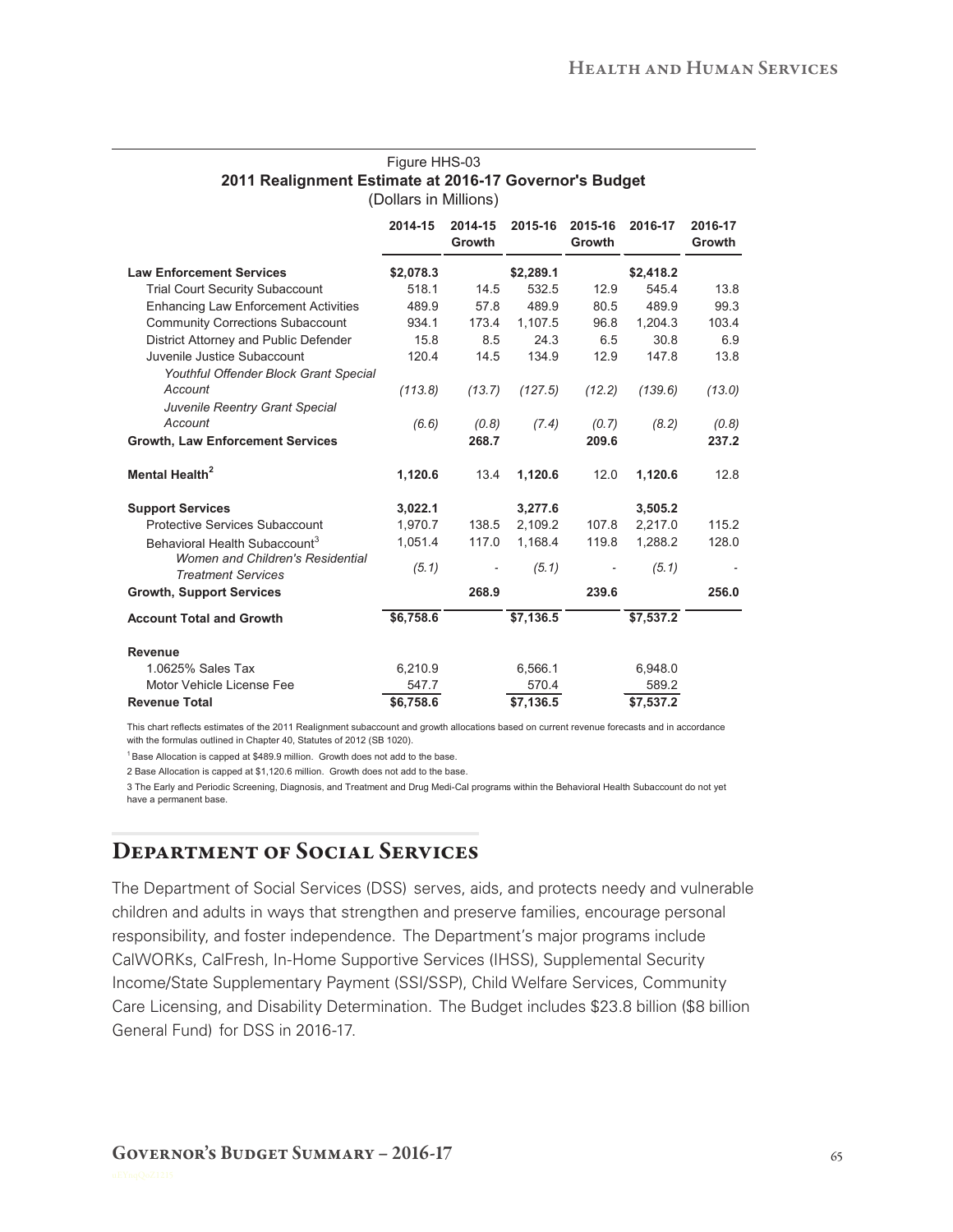|                                                                      | (Dollars in Millions) |                   |           |                   |           |                   |
|----------------------------------------------------------------------|-----------------------|-------------------|-----------|-------------------|-----------|-------------------|
|                                                                      | 2014-15               | 2014-15<br>Growth | 2015-16   | 2015-16<br>Growth | 2016-17   | 2016-17<br>Growth |
| <b>Law Enforcement Services</b>                                      | \$2,078.3             |                   | \$2,289.1 |                   | \$2,418.2 |                   |
| <b>Trial Court Security Subaccount</b>                               | 518.1                 | 14.5              | 532.5     | 12.9              | 545.4     | 13.8              |
| <b>Enhancing Law Enforcement Activities</b>                          | 489.9                 | 57.8              | 489.9     | 80.5              | 489.9     | 99.3              |
| <b>Community Corrections Subaccount</b>                              | 934.1                 | 173.4             | 1,107.5   | 96.8              | 1,204.3   | 103.4             |
| District Attorney and Public Defender                                | 15.8                  | 8.5               | 24.3      | 6.5               | 30.8      | 6.9               |
| Juvenile Justice Subaccount                                          | 120.4                 | 14.5              | 134.9     | 12.9              | 147.8     | 13.8              |
| Youthful Offender Block Grant Special                                |                       |                   |           |                   |           |                   |
| Account                                                              | (113.8)               | (13.7)            | (127.5)   | (12.2)            | (139.6)   | (13.0)            |
| Juvenile Reentry Grant Special                                       |                       |                   |           |                   |           |                   |
| Account                                                              | (6.6)                 | (0.8)             | (7.4)     | (0.7)             | (8.2)     | (0.8)             |
| <b>Growth, Law Enforcement Services</b>                              |                       | 268.7             |           | 209.6             |           | 237.2             |
| Mental Health <sup>2</sup>                                           | 1,120.6               | 13.4              | 1,120.6   | 12.0              | 1,120.6   | 12.8              |
| <b>Support Services</b>                                              | 3,022.1               |                   | 3,277.6   |                   | 3,505.2   |                   |
| <b>Protective Services Subaccount</b>                                | 1,970.7               | 138.5             | 2.109.2   | 107.8             | 2,217.0   | 115.2             |
| Behavioral Health Subaccount <sup>3</sup>                            | 1,051.4               | 117.0             | 1,168.4   | 119.8             | 1,288.2   | 128.0             |
| <b>Women and Children's Residential</b><br><b>Treatment Services</b> | (5.1)                 |                   | (5.1)     |                   | (5.1)     |                   |
| <b>Growth, Support Services</b>                                      |                       | 268.9             |           | 239.6             |           | 256.0             |
| <b>Account Total and Growth</b>                                      | \$6,758.6             |                   | \$7,136.5 |                   | \$7,537.2 |                   |
| <b>Revenue</b>                                                       |                       |                   |           |                   |           |                   |
| 1.0625% Sales Tax                                                    | 6,210.9               |                   | 6,566.1   |                   | 6,948.0   |                   |
| Motor Vehicle License Fee                                            | 547.7                 |                   | 570.4     |                   | 589.2     |                   |
| <b>Revenue Total</b>                                                 | \$6.758.6             |                   | \$7.136.5 |                   | \$7.537.2 |                   |

## Figure HHS-03 **2011 Realignment Estimate at 2016-17 Governor's Budget**

This chart reflects estimates of the 2011 Realignment subaccount and growth allocations based on current revenue forecasts and in accordance with the formulas outlined in Chapter 40, Statutes of 2012 (SB 1020).

 $1$  Base Allocation is capped at \$489.9 million. Growth does not add to the base.

2 Base Allocation is capped at \$1,120.6 million. Growth does not add to the base.

3 The Early and Periodic Screening, Diagnosis, and Treatment and Drug Medi-Cal programs within the Behavioral Health Subaccount do not yet have a permanent base.

### Department of Social Services

The Department of Social Services (DSS) serves, aids, and protects needy and vulnerable children and adults in ways that strengthen and preserve families, encourage personal responsibility, and foster independence. The Department's major programs include CalWORKs, CalFresh, In‑Home Supportive Services (IHSS), Supplemental Security Income/State Supplementary Payment (SSI/SSP), Child Welfare Services, Community Care Licensing, and Disability Determination. The Budget includes \$23.8 billion (\$8 billion General Fund) for DSS in 2016‑17.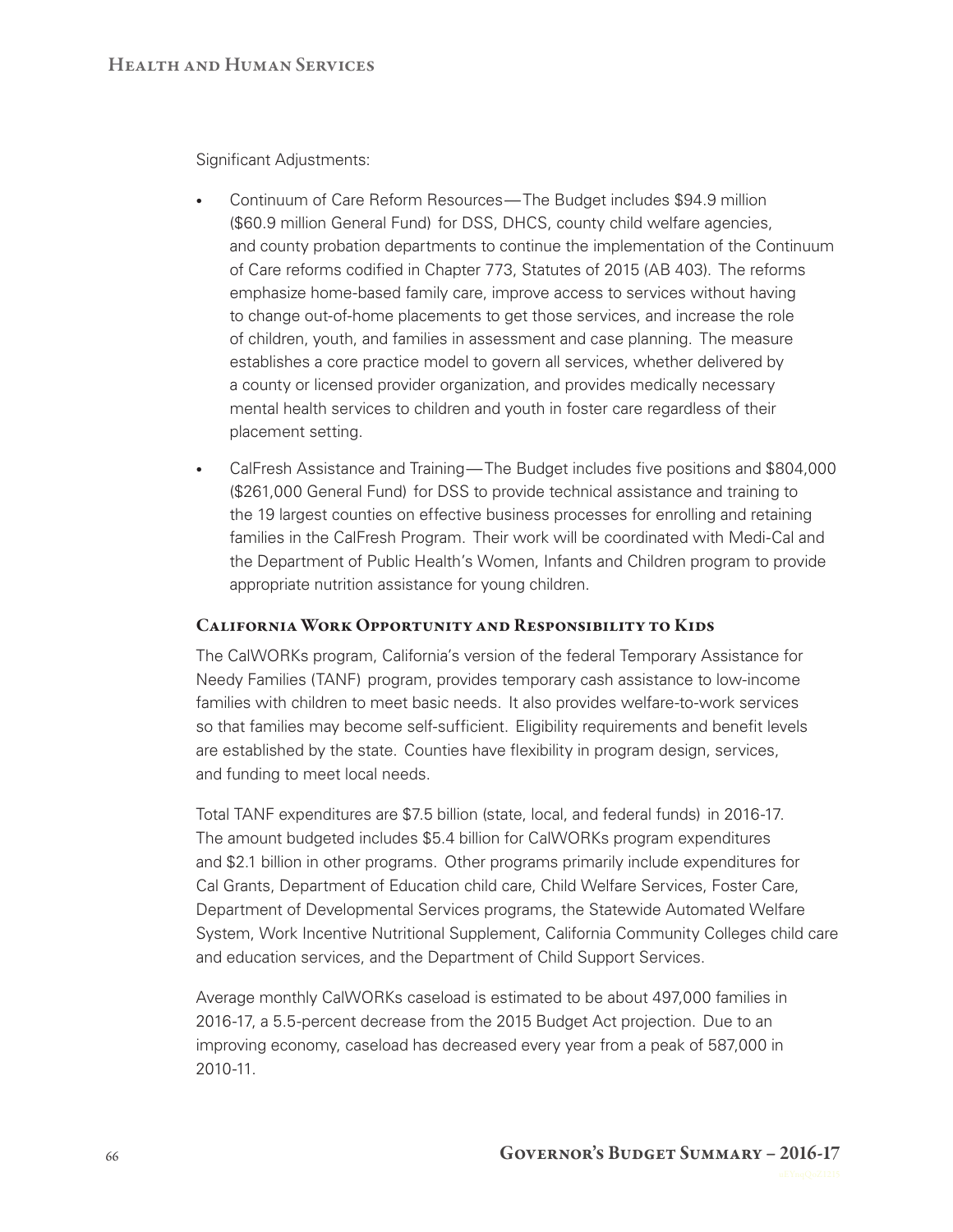Significant Adjustments:

- Continuum of Care Reform Resources— The Budget includes \$94.9 million (\$60.9 million General Fund) for DSS, DHCS, county child welfare agencies, and county probation departments to continue the implementation of the Continuum of Care reforms codified in Chapter 773, Statutes of 2015 (AB 403). The reforms emphasize home-based family care, improve access to services without having to change out-of-home placements to get those services, and increase the role of children, youth, and families in assessment and case planning. The measure establishes a core practice model to govern all services, whether delivered by a county or licensed provider organization, and provides medically necessary mental health services to children and youth in foster care regardless of their placement setting.
- CalFresh Assistance and Training— The Budget includes five positions and \$804,000 (\$261,000 General Fund) for DSS to provide technical assistance and training to the 19 largest counties on effective business processes for enrolling and retaining families in the CalFresh Program. Their work will be coordinated with Medi-Cal and the Department of Public Health's Women, Infants and Children program to provide appropriate nutrition assistance for young children.

#### California Work Opportunity and Responsibility to Kids

The CalWORKs program, California's version of the federal Temporary Assistance for Needy Families (TANF) program, provides temporary cash assistance to low‑income families with children to meet basic needs. It also provides welfare-to-work services so that families may become self-sufficient. Eligibility requirements and benefit levels are established by the state. Counties have flexibility in program design, services, and funding to meet local needs.

Total TANF expenditures are \$7.5 billion (state, local, and federal funds) in 2016-17. The amount budgeted includes \$5.4 billion for CalWORKs program expenditures and \$2.1 billion in other programs. Other programs primarily include expenditures for Cal Grants, Department of Education child care, Child Welfare Services, Foster Care, Department of Developmental Services programs, the Statewide Automated Welfare System, Work Incentive Nutritional Supplement, California Community Colleges child care and education services, and the Department of Child Support Services.

Average monthly CalWORKs caseload is estimated to be about 497,000 families in 2016‑17, a 5.5‑percent decrease from the 2015 Budget Act projection. Due to an improving economy, caseload has decreased every year from a peak of 587,000 in 2010‑11.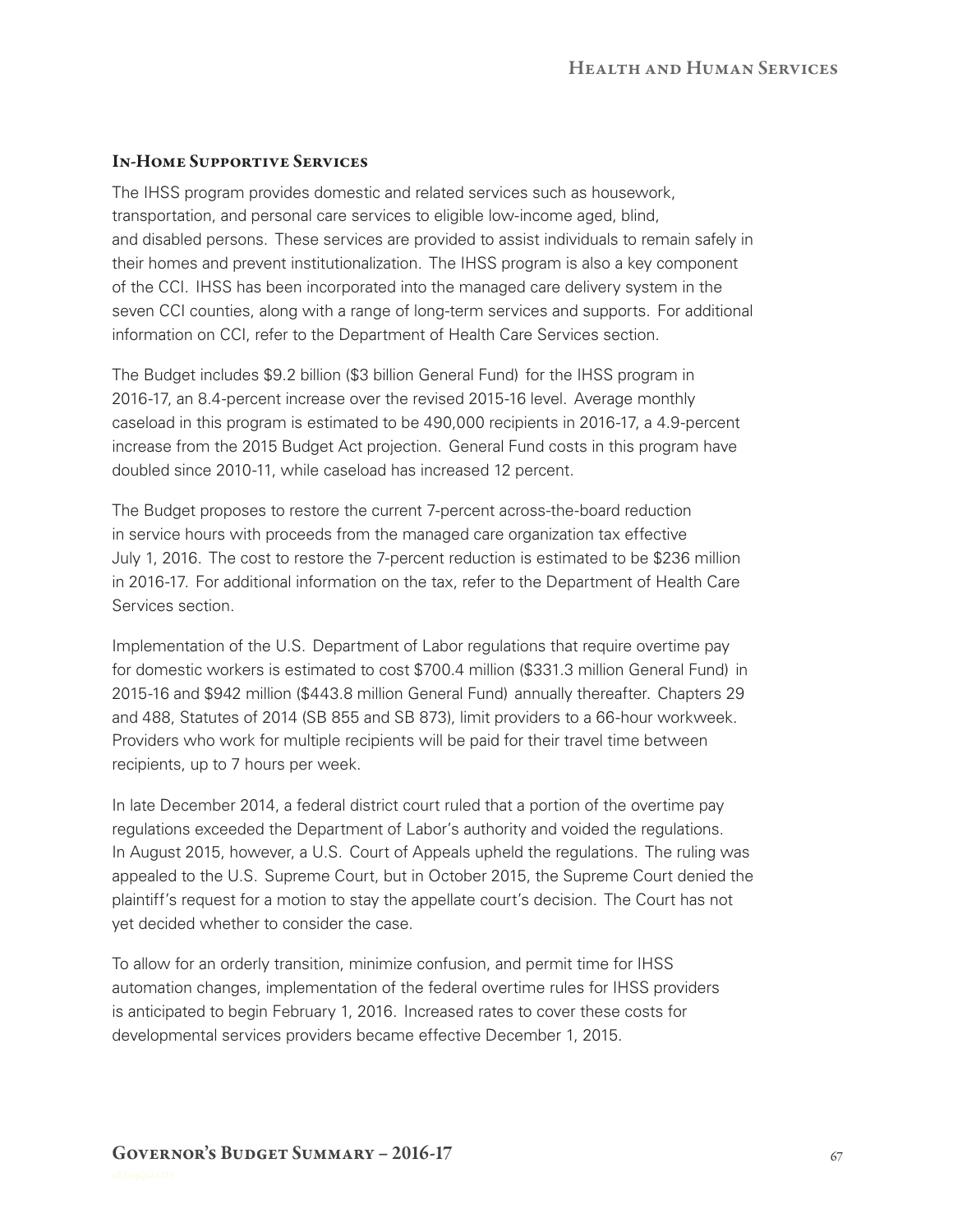### In-Home Supportive Services

The IHSS program provides domestic and related services such as housework, transportation, and personal care services to eligible low‑income aged, blind, and disabled persons. These services are provided to assist individuals to remain safely in their homes and prevent institutionalization. The IHSS program is also a key component of the CCI. IHSS has been incorporated into the managed care delivery system in the seven CCI counties, along with a range of long-term services and supports. For additional information on CCI, refer to the Department of Health Care Services section.

The Budget includes \$9.2 billion (\$3 billion General Fund) for the IHSS program in 2016‑17, an 8.4‑percent increase over the revised 2015‑16 level. Average monthly caseload in this program is estimated to be 490,000 recipients in 2016‑17, a 4.9‑percent increase from the 2015 Budget Act projection. General Fund costs in this program have doubled since 2010-11, while caseload has increased 12 percent.

The Budget proposes to restore the current 7-percent across-the-board reduction in service hours with proceeds from the managed care organization tax effective July 1, 2016. The cost to restore the 7‑percent reduction is estimated to be \$236 million in 2016-17. For additional information on the tax, refer to the Department of Health Care Services section.

Implementation of the U.S. Department of Labor regulations that require overtime pay for domestic workers is estimated to cost \$700.4 million (\$331.3 million General Fund) in 2015‑16 and \$942 million (\$443.8 million General Fund) annually thereafter. Chapters 29 and 488, Statutes of 2014 (SB 855 and SB 873), limit providers to a 66‑hour workweek. Providers who work for multiple recipients will be paid for their travel time between recipients, up to 7 hours per week.

In late December 2014, a federal district court ruled that a portion of the overtime pay regulations exceeded the Department of Labor's authority and voided the regulations. In August 2015, however, a U.S. Court of Appeals upheld the regulations. The ruling was appealed to the U.S. Supreme Court, but in October 2015, the Supreme Court denied the plaintiff's request for a motion to stay the appellate court's decision. The Court has not yet decided whether to consider the case.

To allow for an orderly transition, minimize confusion, and permit time for IHSS automation changes, implementation of the federal overtime rules for IHSS providers is anticipated to begin February 1, 2016. Increased rates to cover these costs for developmental services providers became effective December 1, 2015.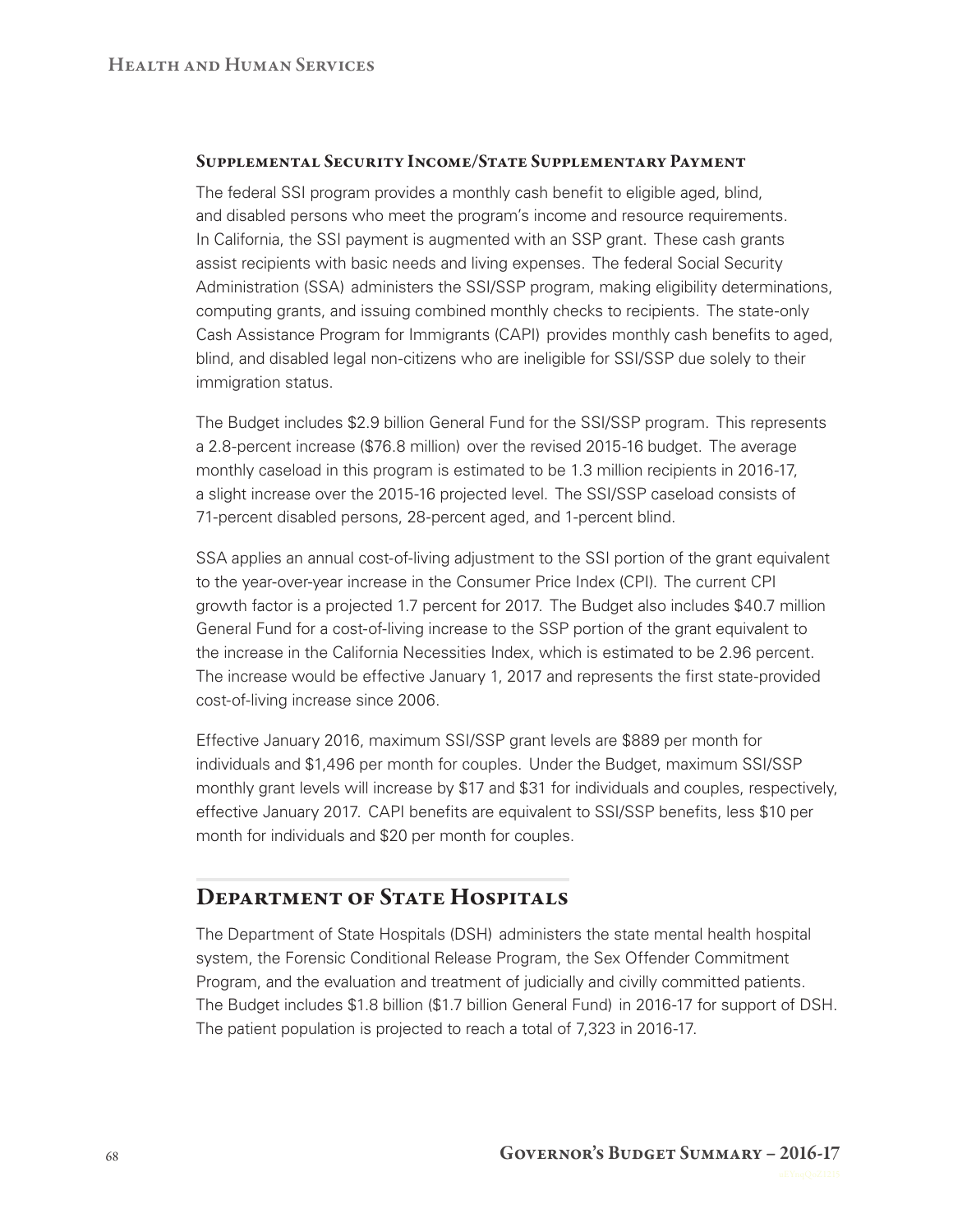#### Supplemental Security Income/State Supplementary Payment

The federal SSI program provides a monthly cash benefit to eligible aged, blind, and disabled persons who meet the program's income and resource requirements. In California, the SSI payment is augmented with an SSP grant. These cash grants assist recipients with basic needs and living expenses. The federal Social Security Administration (SSA) administers the SSI/SSP program, making eligibility determinations, computing grants, and issuing combined monthly checks to recipients. The state‑only Cash Assistance Program for Immigrants (CAPI) provides monthly cash benefits to aged, blind, and disabled legal non-citizens who are ineligible for SSI/SSP due solely to their immigration status.

The Budget includes \$2.9 billion General Fund for the SSI/SSP program. This represents a 2.8‑percent increase (\$76.8 million) over the revised 2015‑16 budget. The average monthly caseload in this program is estimated to be 1.3 million recipients in 2016-17, a slight increase over the 2015‑16 projected level. The SSI/SSP caseload consists of 71‑percent disabled persons, 28‑percent aged, and 1‑percent blind.

SSA applies an annual cost-of-living adjustment to the SSI portion of the grant equivalent to the year-over-year increase in the Consumer Price Index (CPI). The current CPI growth factor is a projected 1.7 percent for 2017. The Budget also includes \$40.7 million General Fund for a cost‑of‑living increase to the SSP portion of the grant equivalent to the increase in the California Necessities Index, which is estimated to be 2.96 percent. The increase would be effective January 1, 2017 and represents the first state‑provided cost-of-living increase since 2006.

Effective January 2016, maximum SSI/SSP grant levels are \$889 per month for individuals and \$1,496 per month for couples. Under the Budget, maximum SSI/SSP monthly grant levels will increase by \$17 and \$31 for individuals and couples, respectively, effective January 2017. CAPI benefits are equivalent to SSI/SSP benefits, less \$10 per month for individuals and \$20 per month for couples.

### DEPARTMENT OF STATE HOSPITALS

The Department of State Hospitals (DSH) administers the state mental health hospital system, the Forensic Conditional Release Program, the Sex Offender Commitment Program, and the evaluation and treatment of judicially and civilly committed patients. The Budget includes \$1.8 billion (\$1.7 billion General Fund) in 2016‑17 for support of DSH. The patient population is projected to reach a total of 7,323 in 2016-17.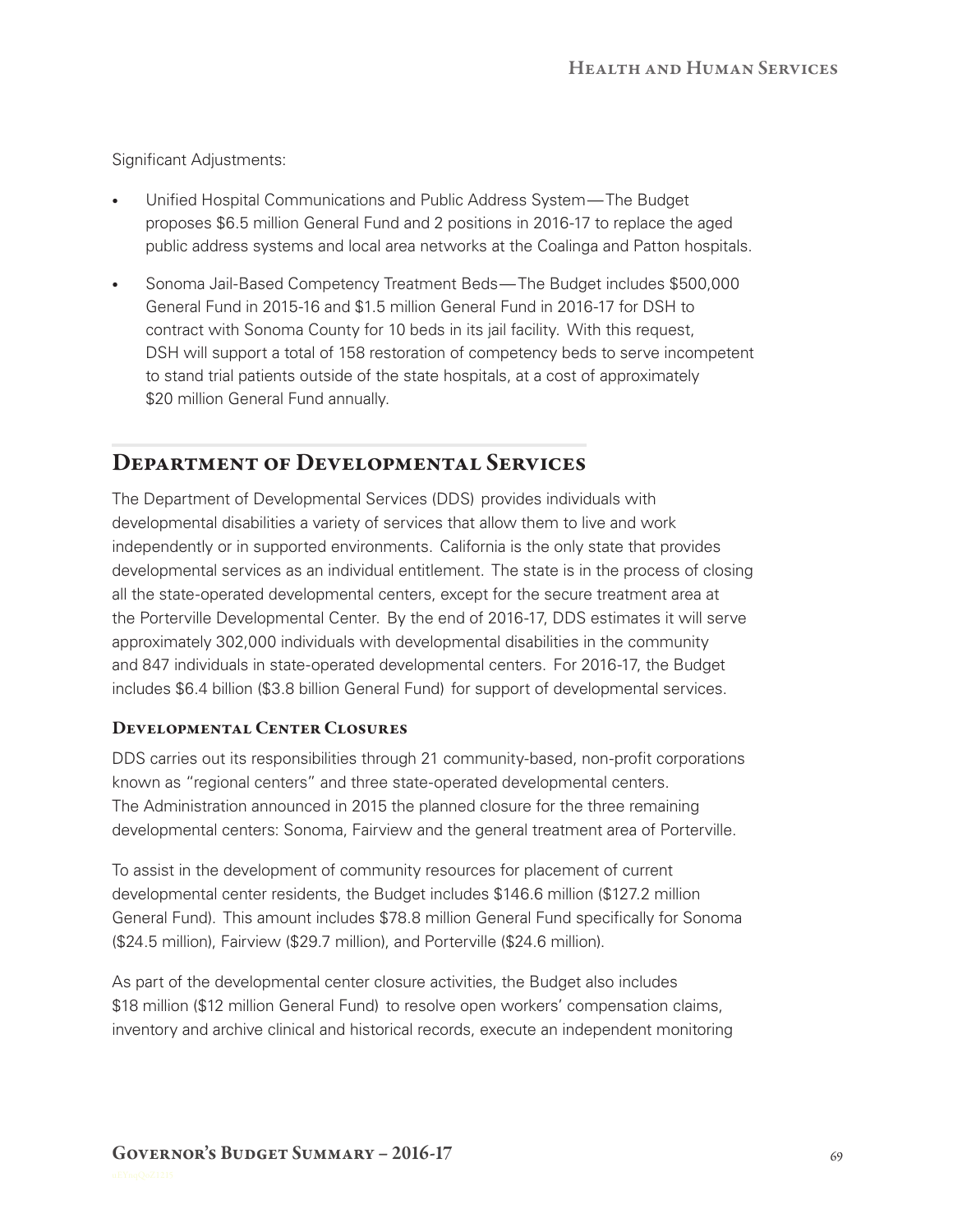Significant Adjustments:

- Unified Hospital Communications and Public Address System— The Budget proposes \$6.5 million General Fund and 2 positions in 2016‑17 to replace the aged public address systems and local area networks at the Coalinga and Patton hospitals.
- Sonoma Jail-Based Competency Treatment Beds— The Budget includes \$500,000 General Fund in 2015‑16 and \$1.5 million General Fund in 2016‑17 for DSH to contract with Sonoma County for 10 beds in its jail facility. With this request, DSH will support a total of 158 restoration of competency beds to serve incompetent to stand trial patients outside of the state hospitals, at a cost of approximately \$20 million General Fund annually.

### Department of Developmental Services

The Department of Developmental Services (DDS) provides individuals with developmental disabilities a variety of services that allow them to live and work independently or in supported environments. California is the only state that provides developmental services as an individual entitlement. The state is in the process of closing all the state‑operated developmental centers, except for the secure treatment area at the Porterville Developmental Center. By the end of 2016‑17, DDS estimates it will serve approximately 302,000 individuals with developmental disabilities in the community and 847 individuals in state‑operated developmental centers. For 2016‑17, the Budget includes \$6.4 billion (\$3.8 billion General Fund) for support of developmental services.

#### Developmental Center Closures

DDS carries out its responsibilities through 21 community-based, non-profit corporations known as "regional centers" and three state-operated developmental centers. The Administration announced in 2015 the planned closure for the three remaining developmental centers: Sonoma, Fairview and the general treatment area of Porterville.

To assist in the development of community resources for placement of current developmental center residents, the Budget includes \$146.6 million (\$127.2 million General Fund). This amount includes \$78.8 million General Fund specifically for Sonoma (\$24.5 million), Fairview (\$29.7 million), and Porterville (\$24.6 million).

As part of the developmental center closure activities, the Budget also includes \$18 million (\$12 million General Fund) to resolve open workers' compensation claims, inventory and archive clinical and historical records, execute an independent monitoring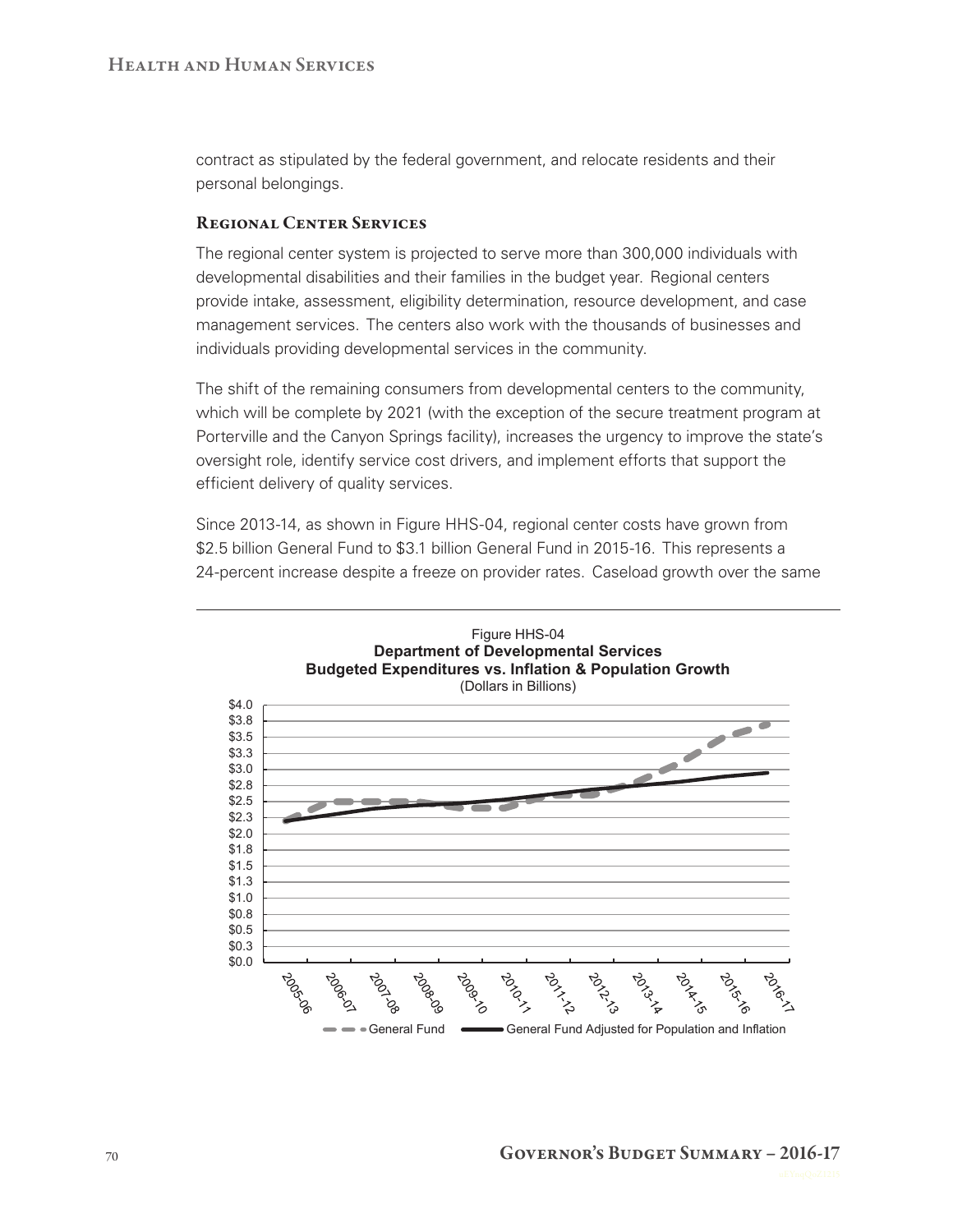contract as stipulated by the federal government, and relocate residents and their personal belongings.

#### Regional Center Services

The regional center system is projected to serve more than 300,000 individuals with developmental disabilities and their families in the budget year. Regional centers provide intake, assessment, eligibility determination, resource development, and case management services. The centers also work with the thousands of businesses and individuals providing developmental services in the community.

The shift of the remaining consumers from developmental centers to the community, which will be complete by 2021 (with the exception of the secure treatment program at Porterville and the Canyon Springs facility), increases the urgency to improve the state's oversight role, identify service cost drivers, and implement efforts that support the efficient delivery of quality services.

Since 2013-14, as shown in Figure HHS-04, regional center costs have grown from \$2.5 billion General Fund to \$3.1 billion General Fund in 2015-16. This represents a 24‑percent increase despite a freeze on provider rates. Caseload growth over the same

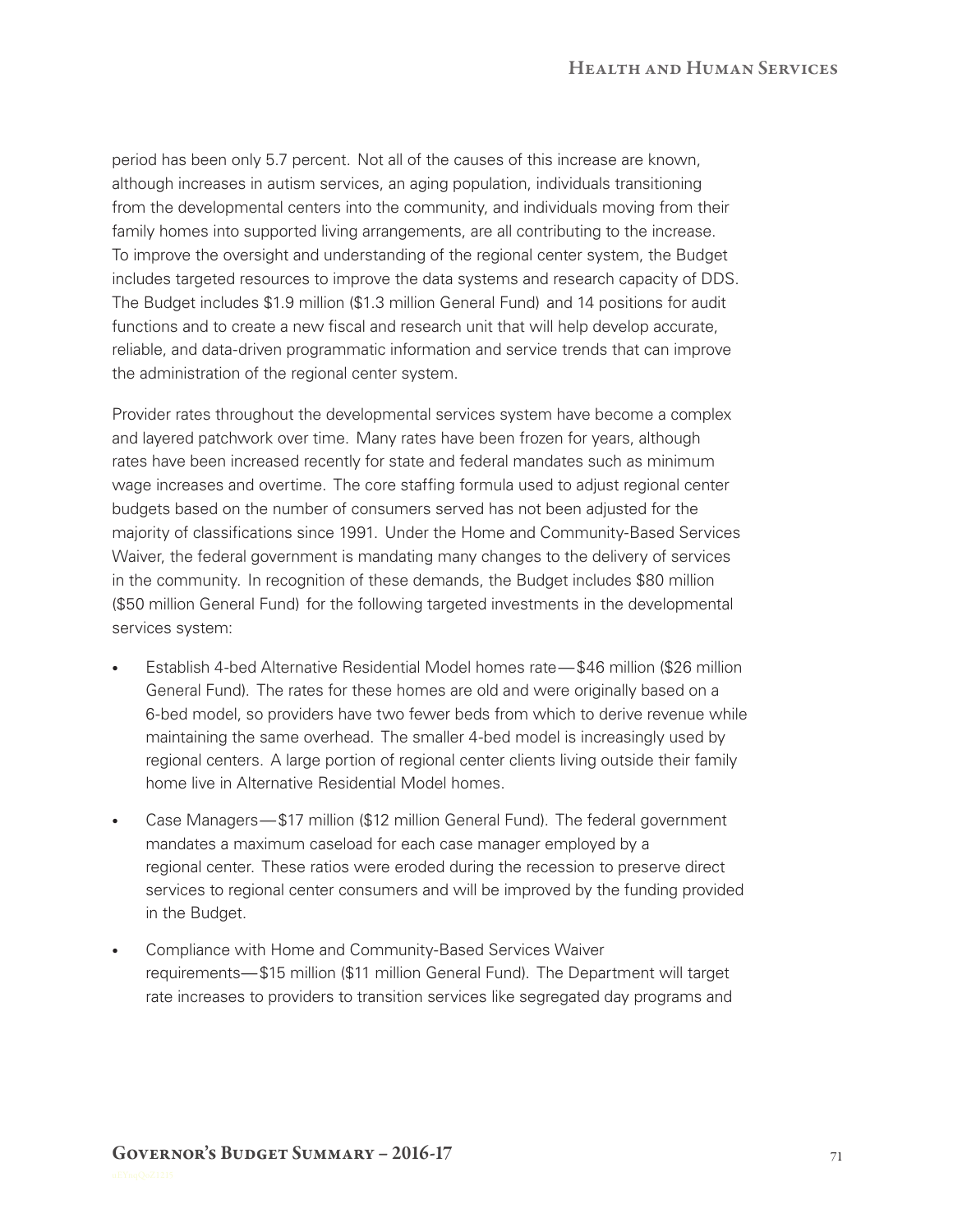period has been only 5.7 percent. Not all of the causes of this increase are known, although increases in autism services, an aging population, individuals transitioning from the developmental centers into the community, and individuals moving from their family homes into supported living arrangements, are all contributing to the increase. To improve the oversight and understanding of the regional center system, the Budget includes targeted resources to improve the data systems and research capacity of DDS. The Budget includes \$1.9 million (\$1.3 million General Fund) and 14 positions for audit functions and to create a new fiscal and research unit that will help develop accurate, reliable, and data‑driven programmatic information and service trends that can improve the administration of the regional center system.

Provider rates throughout the developmental services system have become a complex and layered patchwork over time. Many rates have been frozen for years, although rates have been increased recently for state and federal mandates such as minimum wage increases and overtime. The core staffing formula used to adjust regional center budgets based on the number of consumers served has not been adjusted for the majority of classifications since 1991. Under the Home and Community‑Based Services Waiver, the federal government is mandating many changes to the delivery of services in the community. In recognition of these demands, the Budget includes \$80 million (\$50 million General Fund) for the following targeted investments in the developmental services system:

- Establish 4-bed Alternative Residential Model homes rate—\$46 million (\$26 million General Fund). The rates for these homes are old and were originally based on a 6‑bed model, so providers have two fewer beds from which to derive revenue while maintaining the same overhead. The smaller 4‑bed model is increasingly used by regional centers. A large portion of regional center clients living outside their family home live in Alternative Residential Model homes.
- Case Managers— \$17 million (\$12 million General Fund). The federal government mandates a maximum caseload for each case manager employed by a regional center. These ratios were eroded during the recession to preserve direct services to regional center consumers and will be improved by the funding provided in the Budget.
- Compliance with Home and Community-Based Services Waiver requirements— \$15 million (\$11 million General Fund). The Department will target rate increases to providers to transition services like segregated day programs and